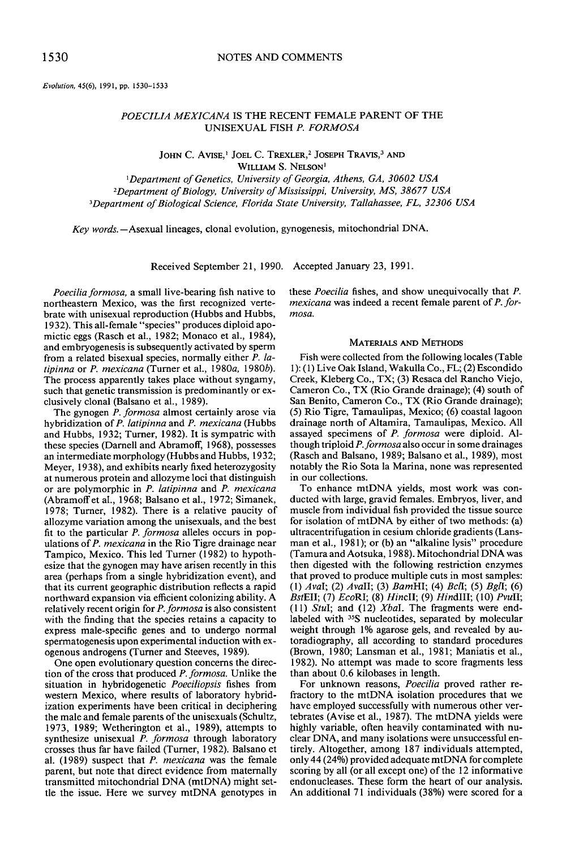*Evolution.* 45(6). 1991. pp. 1530-1533

# *POECILIA MEXICANA* IS THE RECENT FEMALE PARENT OF THE UNISEXUAL FISH *P. FORMOSA*

JOHN C. AVISE,<sup>1</sup> JOEL C. TREXLER,<sup>2</sup> JOSEPH TRAVIS,<sup>3</sup> AND WILLIAM S. NELSON'

*'Department ofGenetics. University ofGeorgia, Athens, GA, 30602 USA <Department ofBiology, University ofMississippi, University, MS,* 38677 *USA 3Department ofBiological Science, Florida State University, Tallahassee, FL, 32306 USA*

*Key words.*-Asexual lineages, clonal evolution, gynogenesis, mitochondrial DNA.

Received September 21, 1990. Accepted January 23, 1991.

*Poeciliaformosa,* a small live-bearing fish native to northeastern Mexico, was the first recognized vertebrate with unisexual reproduction (Hubbs and Hubbs, 1932). This all-female "species" produces diploid apomictic eggs (Rasch et aI., 1982; Monaco et al., 1984), and embryogenesis is subsequently activated by sperm from a related bisexual species, normally either P. *latipinna* or *P. mexicana* (Turner et aI., *1980a,* I*980b).* The process apparently takes place without syngamy, such that genetic transmission is predominantly or exclusively clonal (Balsano et al., 1989).

The gynogen *P. formosa* almost certainly arose via hybridization of *P. latipinna* and *P. mexicana* (Hubbs and Hubbs, 1932; Turner, 1982). It is sympatric with these species (Darnell and Abramoff, 1968), possesses an intermediate morphology (Hubbs and Hubbs, 1932; Meyer, 1938), and exhibits nearly fixed heterozygosity at numerous protein and allozyme loci that distinguish or are polymorphic in *P. latipinna* and *P. mexicana* (Abramoff et al., 1968; Balsano et al., 1972; Simanek, 1978; Turner, 1982). There is a relative paucity of allozyme variation among the unisexuals, and the best fit to the particular *P. formosa* alleles occurs in populations of*P. mexicana* in the Rio Tigre drainage near Tampico, Mexico. This led Turner (1982) to hypothesize that the gynogen may have arisen recently in this area (perhaps from a single hybridization event), and that its current geographic distribution reflects a rapid northward expansion via efficient colonizing ability. A relatively recent origin for *P.formosa* is also consistent with the finding that the species retains a capacity to express male-specific genes and to undergo normal spermatogenesis upon experimental induction with exogenous androgens (Turner and Steeves, 1989).

One open evolutionary question concerns the direction of the cross that produced *P. formosa*. Unlike the situation in hybridogenetic *Poeciliopsis* fishes from western Mexico, where results of laboratory hybridization experiments have been critical in deciphering the male and female parents of the unisexuals (Schultz, 1973, 1989; Wetherington et aI., 1989), attempts to synthesize unisexual *P. formosa* through laboratory crosses thus far have failed (Turner, 1982). Balsano et al. (1989) suspect that *P. mexicana* was the female parent, but note that direct evidence from maternally transmitted mitochondrial DNA (mtDNA) might settle the issue. Here we survey mtDNA genotypes in

these *Poecilia* fishes, and show unequivocally that *P. mexicana* was indeed a recent female parent of*P. formosa.*

## MATERIALS AND METHODS

Fish were collected from the following locales (Table I): (I) Live Oak Island, Wakulla Co., FL; (2) Escondido Creek, Kleberg Co., TX; (3) Resaca del Rancho Viejo, Cameron Co., TX (Rio Grande drainage); (4) south of San Benito, Cameron Co., TX (Rio Grande drainage); (5) Rio Tigre, Tamaulipas, Mexico; (6) coastal lagoon drainage north of Altamira, Tamaulipas, Mexico. All assayed specimens of *P. formosa* were diploid. Although triploid *P.formosa* also occurin some drainages (Rasch and Balsano, 1989; Balsano et al., 1989), most notably the Rio Sota la Marina, none was represented in our collections.

To enhance mtDNA yields, most work was conducted with large, gravid females. Embryos, liver, and muscle from individual fish provided the tissue source for isolation of mtDNA by either of two methods: (a) ultracentrifugation in cesium chloride gradients (Lansman et al., 1981); or (b) an "alkaline lysis" procedure (Tamura and Aotsuka, 1988). Mitochondrial DNA was then digested with the following restriction enzymes that proved to produce multiple cuts in most samples: *(I) AvaI;* (2) *AvaIl;* (3) *BamHI;* (4) *Bcll;* (5) *Bgll; (6) EstEll;* (7) *EcoRI;* (8) *HincIl;* (9) *HindIII;* (10) *PvuIl;* (II) *StuI;* and (12) *XbaL* The fragments were endlabeled with <sup>35</sup>S nucleotides, separated by molecular weight through 1% agarose gels, and revealed by autoradiography, all according to standard procedures (Brown, 1980; Lansman et al., 1981; Maniatis et aI., 1982). No attempt was made to score fragments less than about 0.6 kilobases in length.

For unknown reasons, *Poecilia* proved rather refractory to the mtDNA isolation procedures that we have employed successfully with numerous other vertebrates (Avise et al., 1987). The mtDNA yields were highly variable, often heavily contaminated with nuclear DNA, and many isolations were unsuccessful entirely. Altogether, among 187 individuals attempted, only 44 (24%) provided adequate mtDNA for complete scoring by all (or all except one) of the 12 informative endonucleases. These form the heart of our analysis. An additional 71 individuals (38%) were scored for a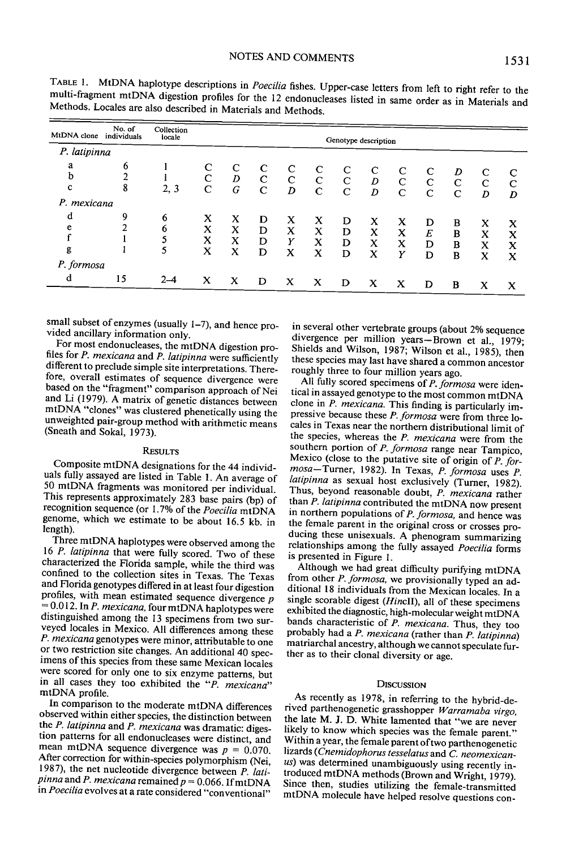| MtDNA clone                              | No. of<br>individuals | Collection<br>locale | Genotype description |                  |                                 |                  |                        |                  |                            |                          |                        |                       |                        |                  |
|------------------------------------------|-----------------------|----------------------|----------------------|------------------|---------------------------------|------------------|------------------------|------------------|----------------------------|--------------------------|------------------------|-----------------------|------------------------|------------------|
| P. latipinna                             |                       |                      |                      |                  |                                 |                  |                        |                  |                            |                          |                        |                       |                        |                  |
| a<br>$\mathbf b$<br>c                    | 6<br>ኅ<br>8           | 2, 3                 | C                    | D<br>G           | C<br>$\mathbf C$<br>$\mathbf C$ | C<br>C<br>D      | C<br>C<br>$\mathsf{C}$ | $\mathbf C$<br>C | C<br>D<br>$\boldsymbol{D}$ | $\mathbf C$<br>$\subset$ | C<br>$\mathsf{C}$<br>C | D<br>$\mathbf C$<br>C | $\mathsf{C}$<br>C<br>D | C<br>D           |
| P. mexicana<br>d<br>e<br>g<br>P. formosa | 9                     | 6<br>6<br>5          | X<br>X<br>x<br>x     | x<br>X<br>x<br>X | D<br>D<br>D<br>D                | X<br>X<br>Υ<br>X | x<br>х<br>X<br>X       | D<br>D<br>D<br>D | x<br>X<br>x<br>X           | x<br>X<br>x<br>Υ         | D<br>E<br>D<br>D       | в<br>B<br>в<br>B      | х<br>x<br>X<br>x       | x<br>x<br>x<br>X |
| d                                        | 15                    | $2 - 4$              | x                    | $\mathbf x$      | D                               | x                | х                      | D                | х                          | X                        | D                      | B                     | x                      | x                |

TABLE 1. MtDNA haplotype descriptions in *Poecilia* fishes. Upper-case letters from left to right refer to the multi-fragment mtDNA digestion profiles for the 12 endonucleases listed in same order as in Materials and Methods. Locales are also described in Materials and Methods.

small subset of enzymes (usually 1-7), and hence provided ancillary information only.

For most endonucleases, the mtDNA digestion profiles for *P. mexicana* and *P. latipinna* were sufficiently different to preclude simple site interpretations. Therefore, overall estimates of sequence divergence were based on the "fragment" comparison approach of Nei and Li (1979). <sup>A</sup> matrix of genetic distances between mtDNA "clones" was clustered <sup>p</sup>henetically using the unweighted pair-group method with arithmetic means (Sneath and Sokal, 1973).

### **RESULTS**

Composite mtDNA designations for the <sup>44</sup> individuals fully assayed are listed in Table I. An average of <sup>50</sup> mtDNA fragments was monitored per individual. This represents approximately <sup>283</sup> base pairs (bp) of recognition sequence (or 1.7% of the *Poecilia* mtDNA genome, which we estimate to be about 16.5 kb, in length).

Three mtDNA haplotypes were observed among the <sup>16</sup> *P. latipinna* that were fully scored. Two of these characterized the Florida sample, while the third was confined to the collection sites in Texas. The Texas and Florida genotypes differed in at least four digestion profiles, with mean estimated sequence divergence  $p$ = 0.012. In *P. mexicana,* four mtDNA haplotypes were distinguished among the <sup>13</sup> specimens from two surveyed locales in Mexico. All differences among these *P. mexicana* genotypes were minor, attributable to one or two restriction site changes. An additional <sup>40</sup> specimens of this species from these same Mexican locales were scored for only one to six enzyme patterns, but in all cases they too exhibited the *"P. mexicana"* mtDNA profile.

In comparison to the moderate mtDNA differences observed within either species, the distinction between the *P. latipinna* and *P. mexicana* was dramatic: digestion patterns for all endonucleases were distinct, and mean mtDNA sequence divergence was  $p = 0.070$ . After correction for within-species polymorphism (Nei, 1987), the net nucleotide divergence between *P. lati* $pinna$  and  $P.$  *mexicana* remained  $p = 0.066$ . If mtDNA in *Poecilia* evolves at <sup>a</sup> rate considered "conventional"

in several other vertebrate groups (about 2% sequence divergence per million years-Brown et al., 1979; Shields and Wilson, 1987; Wilson et aI., 1985), then these species may last have shared <sup>a</sup> common ancestor roughly three to four million years ago.

All fully scored specimens of *P. formosa* were identical in assayed genotype to the most common mtDNA clone in *P. mexicana.* This finding is particularly impressive because these *P. formosa* were from three locales in Texas near the northern distributional limit of the species, whereas the *P. mexicana* were from the southern portion of *P. formosa* range near Tampico, Mexico (close to the putative site of origin of *P. formosa-*Turner, 1982). In Texas, *P. formosa* uses *P. latipinna* as sexual host exclusively (Turner, 1982). Thus, beyond reasonable doubt, *P. mexicana* rather than *P. latipinna* contributed the mtDNA now present in northern populations of *P. formosa,* and hence was the female parent in the original cross or crosses producing these unisexuals. <sup>A</sup> <sup>p</sup>henogram summarizing relationships among the fully assayed *Poecilia* forms is presented in Figure I.

Although we had great difficulty purifying mtDNA from other *P. formosa,* we provisionally typed an additional <sup>18</sup> individuals from the Mexican locales. In <sup>a</sup> single scorable digest *(HincH),* all of these specimens exhibited the diagnostic, high-molecular weight mtDNA bands characteristic of *P. mexicana.* Thus, they too probably had <sup>a</sup> *P. mexicana* (rather than *P. latipinna)* matriarchal ancestry, although we cannot speculate further as to their clonal diversity or age.

#### **DISCUSSION**

As recently as 1978, in referring to the hybrid-derived parthenogenetic grasshopper *Warramaba virgo,* the late M. J. D. White lamented that "we are never likely to know which species was the female parent." Within <sup>a</sup> year, the female parent oftwo parthenogenetic lizards *(Cnemidophorus tesselatus* and C. *neomexicanus)* was determined unambiguously using recently introduced mtDNA methods (Brown and Wright, 1979). Since then, studies utilizing the female-transmitted mtDNA molecule have helped resolve questions con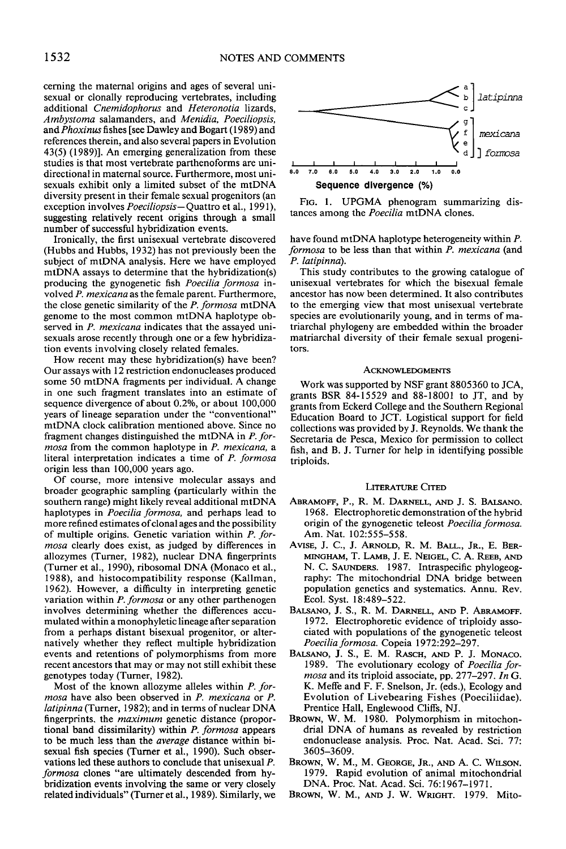cerning the maternal origins and ages of several unisexual or clonally reproducing vertebrates, including additional *Cnemidophorus* and *Heteronotia* lizards, *Ambystoma* salamanders, and *Menidia, Poeciliopsis,* and *Phoxinus*fishes [see Dawley and Bogart (1989) and references therein, and also several papers in Evolution 43(5) (1989)]. An emerging generalization from these studies is that most vertebrate parthenoforms are unidirectional in maternal source. Furthermore, most unisexuals exhibit only a limited subset of the mtDNA diversity present in their female sexual progenitors (an exception involves *Poeciliopsis-Quattro* et al., 1991), suggesting relatively recent origins through a small number of successful hybridization events.

Ironically, the first unisexual vertebrate discovered (Hubbs and Hubbs, 1932) has not previously been the subject of mtDNA analysis. Here we have employed mtDNA assays to determine that the hybridization(s) producing the gynogenetic fish *Poecilia formosa* involved *P. mexicana* as the female parent. Furthermore, the close genetic similarity of the *P. formosa* mtDNA genome to the most common mtDNA haplotype observed in *P. mexicana* indicates that the assayed unisexuals arose recently through one or a few hybridization events involving closely related females.

How recent may these hybridization(s) have been? Our assays with 12 restriction endonucleases produced some 50 mtDNA fragments per individual. A change in one such fragment translates into an estimate of sequence divergence of about 0.2%, or about 100,000 years of lineage separation under the "conventional" mtDNA clock calibration mentioned above. Since no fragment changes distinguished the mtDNA in *P. formosa* from the common haplotype in *P. mexicana,* a literal interpretation indicates a time of *P. formosa* origin less than 100,000 years ago.

Of course, more intensive molecular assays and broader geographic sampling (particularly within the southern range) might likely reveal additional mtDNA haplotypes in *Poecilia formosa,* and perhaps lead to more refined estimates of clonal ages and the possibility of multiple origins. Genetic variation within *P. formosa* clearly does exist, as judged by differences in allozymes (Turner, 1982), nuclear DNA fingerprints (Turner et al., 1990), ribosomal DNA (Monaco et al., 1988), and histocompatibility response (Kallman, 1962). However, a difficulty in interpreting genetic variation within *P. formosa* or any other parthenogen involves determining whether the differences accumulated within a monophyletic lineage after separation from a perhaps distant bisexual progenitor, or alternatively whether they reflect multiple hybridization events and retentions of polymorphisms from more recent ancestors that mayor may not still exhibit these genotypes today (Turner, 1982).

Most of the known allozyme alleles within *P. formosa* have also been observed in *P. mexicana* or *P. latipinna* (Turner, 1982); and in terms of nuclear DNA fingerprints. the *maximum* genetic distance (proportional band dissimilarity) within *P. formosa* appears to be much less than the *average* distance within bisexual fish species (Turner et al., 1990). Such observations led these authors to conclude that unisexual P. *formosa* clones "are ultimately descended from hybridization events involving the same or very closely related individuals" (Turner et al., 1989). Similarly, we



FIG. 1. UPGMA phenogram summarizing distances among the *Poecilia* mtDNA clones.

have found mtDNA haplotype heterogeneity within P. *formosa* to be less than that within *P. mexicana* (and *P. latipinna).*

This study contributes to the growing catalogue of unisexual vertebrates for which the bisexual female ancestor has now been determined. It also contributes to the emerging view that most unisexual vertebrate species are evolutionarily young, and in terms of matriarchal phylogeny are embedded within the broader matriarchal diversity of their female sexual progenitors.

#### ACKNOWLEDGMENTS

Work was supported by NSF grant 8805360 to JCA, grants BSR 84-15529 and 88-18001 to JT, and by grants from Eckerd College and the Southern Regional Education Board to JCT. Logistical support for field collections was provided by J. Reynolds. We thank the Secretaria de Pesca, Mexico for permission to collect fish, and B. J. Turner for help in identifying possible triploids.

### LITERATURE CITED

- ABRAMOFF, P., R. M. DARNELL, AND J. S. BALSANO. 1968. Electrophoretic demonstration of the hybrid origin of the gynogenetic teleost *Poecilia formosa.* Am. Nat. 102:555-558.
- AVISE, J. C., J. ARNOLD, R. M. BALL., JR., E. BER-MINGHAM, T. LAMB, J. E. NEIGEL, C. A. REEB, AND N. C. SAUNDERS. 1987. Intraspecific phylogeography: The mitochondrial DNA bridge between population genetics and systematics. Annu. Rev. Ecol. Syst. 18:489-522.
- BALSANO, J. S., R. M. DARNELL, AND P. ABRAMOFF. 1972. Electrophoretic evidence of triploidy associated with populations of the gynogenetic teleost *Poeciliaformosa.* Copeia 1972:292-297.
- BALSANo, J. S., E. M. RAsCH, AND P. J. MONACO. 1989. The evolutionary ecology of *Poecilia formosa* and its triploid associate, pp. 277-297. *In* G. K. Meffe and F. F. Snelson, Jr. (eds.), Ecology and Evolution of Livebearing Fishes (Poeciliidae). Prentice Hall, Englewood Cliffs, NJ.
- BROWN, w. M. 1980. Polymorphism in mitochondrial DNA of humans as revealed by restriction endonuclease analysis. Proc. Nat. Acad. Sci. 77: 3605-3609.
- BROWN, W. M., M. GEORGE, JR., AND A. C. WILSON. 1979. Rapid evolution of animal mitochondrial DNA. Proc. Nat. Acad. Sci. 76:1967-1971.
- BROWN, W. M., AND J. W. WRIGHT. 1979. Mito-